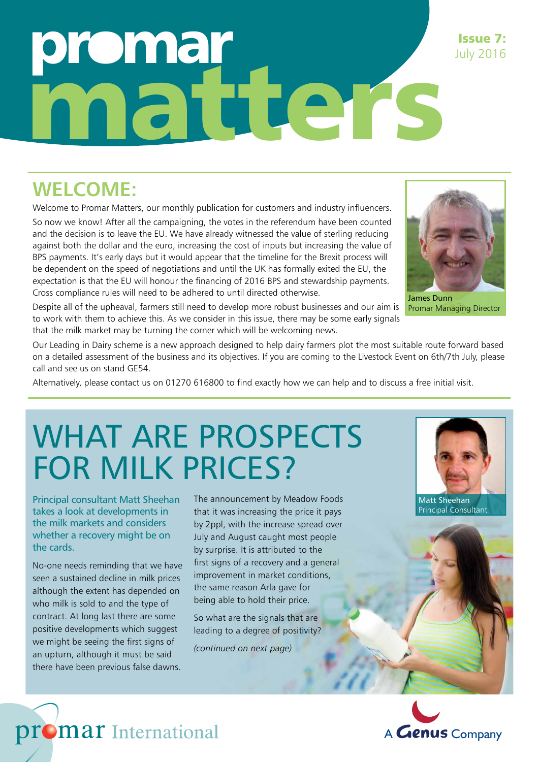# omar matters

### **WELCOME:**

Welcome to Promar Matters, our monthly publication for customers and industry influencers. So now we know! After all the campaigning, the votes in the referendum have been counted and the decision is to leave the EU. We have already witnessed the value of sterling reducing against both the dollar and the euro, increasing the cost of inputs but increasing the value of BPS payments. It's early days but it would appear that the timeline for the Brexit process will be dependent on the speed of negotiations and until the UK has formally exited the EU, the expectation is that the EU will honour the financing of 2016 BPS and stewardship payments. Cross compliance rules will need to be adhered to until directed otherwise.



James Dunn Promar Managing Director

Despite all of the upheaval, farmers still need to develop more robust businesses and our aim is to work with them to achieve this. As we consider in this issue, there may be some early signals that the milk market may be turning the corner which will be welcoming news.

Our Leading in Dairy scheme is a new approach designed to help dairy farmers plot the most suitable route forward based on a detailed assessment of the business and its objectives. If you are coming to the Livestock Event on 6th/7th July, please call and see us on stand GE54.

Alternatively, please contact us on 01270 616800 to find exactly how we can help and to discuss a free initial visit.

## WHAT ARE PROSPECTS FOR MILK PRICES?

Principal consultant Matt Sheehan takes a look at developments in the milk markets and considers whether a recovery might be on the cards.

No-one needs reminding that we have seen a sustained decline in milk prices although the extent has depended on who milk is sold to and the type of contract. At long last there are some positive developments which suggest we might be seeing the first signs of an upturn, although it must be said there have been previous false dawns.

promar International

The announcement by Meadow Foods that it was increasing the price it pays by 2ppl, with the increase spread over July and August caught most people by surprise. It is attributed to the first signs of a recovery and a general improvement in market conditions, the same reason Arla gave for being able to hold their price.

So what are the signals that are leading to a degree of positivity?

*(continued on next page)*



Principal Consultant